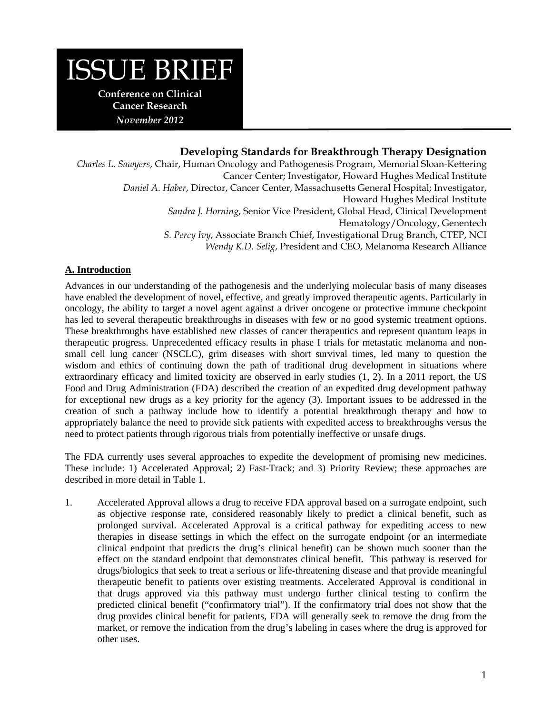# ISSUE BRIEF

**Conference on Clinical Cancer Research**  *November 2012* 

# **Developing Standards for Breakthrough Therapy Designation**

*Charles L. Sawyers*, Chair, Human Oncology and Pathogenesis Program, Memorial Sloan-Kettering Cancer Center; Investigator, Howard Hughes Medical Institute *Daniel A. Haber*, Director, Cancer Center, Massachusetts General Hospital; Investigator, Howard Hughes Medical Institute *Sandra J. Horning*, Senior Vice President, Global Head, Clinical Development Hematology/Oncology, Genentech *S. Percy Ivy*, Associate Branch Chief, Investigational Drug Branch, CTEP, NCI *Wendy K.D. Selig*, President and CEO, Melanoma Research Alliance

# **A. Introduction**

Advances in our understanding of the pathogenesis and the underlying molecular basis of many diseases have enabled the development of novel, effective, and greatly improved therapeutic agents. Particularly in oncology, the ability to target a novel agent against a driver oncogene or protective immune checkpoint has led to several therapeutic breakthroughs in diseases with few or no good systemic treatment options. These breakthroughs have established new classes of cancer therapeutics and represent quantum leaps in therapeutic progress. Unprecedented efficacy results in phase I trials for metastatic melanoma and nonsmall cell lung cancer (NSCLC), grim diseases with short survival times, led many to question the wisdom and ethics of continuing down the path of traditional drug development in situations where extraordinary efficacy and limited toxicity are observed in early studies (1, 2). In a 2011 report, the US Food and Drug Administration (FDA) described the creation of an expedited drug development pathway for exceptional new drugs as a key priority for the agency (3). Important issues to be addressed in the creation of such a pathway include how to identify a potential breakthrough therapy and how to appropriately balance the need to provide sick patients with expedited access to breakthroughs versus the need to protect patients through rigorous trials from potentially ineffective or unsafe drugs.

The FDA currently uses several approaches to expedite the development of promising new medicines. These include: 1) Accelerated Approval; 2) Fast-Track; and 3) Priority Review; these approaches are described in more detail in Table 1.

1. Accelerated Approval allows a drug to receive FDA approval based on a surrogate endpoint, such as objective response rate, considered reasonably likely to predict a clinical benefit, such as prolonged survival. Accelerated Approval is a critical pathway for expediting access to new therapies in disease settings in which the effect on the surrogate endpoint (or an intermediate clinical endpoint that predicts the drug's clinical benefit) can be shown much sooner than the effect on the standard endpoint that demonstrates clinical benefit. This pathway is reserved for drugs/biologics that seek to treat a serious or life-threatening disease and that provide meaningful therapeutic benefit to patients over existing treatments. Accelerated Approval is conditional in that drugs approved via this pathway must undergo further clinical testing to confirm the predicted clinical benefit ("confirmatory trial"). If the confirmatory trial does not show that the drug provides clinical benefit for patients, FDA will generally seek to remove the drug from the market, or remove the indication from the drug's labeling in cases where the drug is approved for other uses.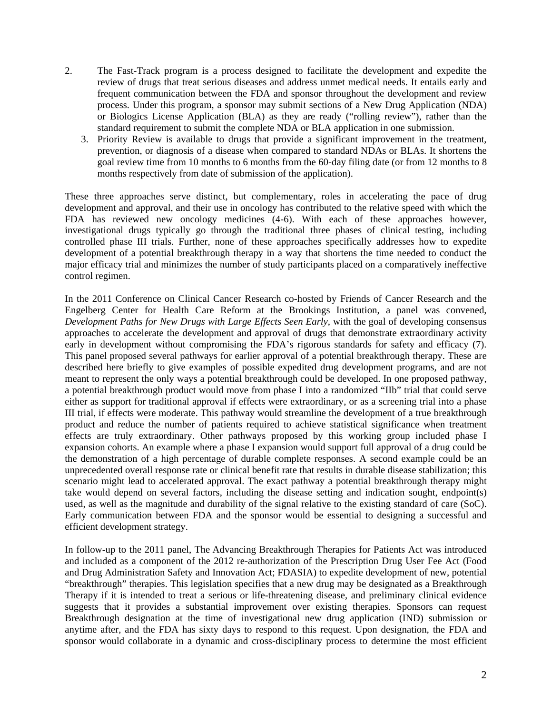- 2. The Fast-Track program is a process designed to facilitate the development and expedite the review of drugs that treat serious diseases and address unmet medical needs. It entails early and frequent communication between the FDA and sponsor throughout the development and review process. Under this program, a sponsor may submit sections of a New Drug Application (NDA) or Biologics License Application (BLA) as they are ready ("rolling review"), rather than the standard requirement to submit the complete NDA or BLA application in one submission.
	- 3. Priority Review is available to drugs that provide a significant improvement in the treatment, prevention, or diagnosis of a disease when compared to standard NDAs or BLAs. It shortens the goal review time from 10 months to 6 months from the 60-day filing date (or from 12 months to 8 months respectively from date of submission of the application).

These three approaches serve distinct, but complementary, roles in accelerating the pace of drug development and approval, and their use in oncology has contributed to the relative speed with which the FDA has reviewed new oncology medicines (4-6). With each of these approaches however, investigational drugs typically go through the traditional three phases of clinical testing, including controlled phase III trials. Further, none of these approaches specifically addresses how to expedite development of a potential breakthrough therapy in a way that shortens the time needed to conduct the major efficacy trial and minimizes the number of study participants placed on a comparatively ineffective control regimen.

In the 2011 Conference on Clinical Cancer Research co-hosted by Friends of Cancer Research and the Engelberg Center for Health Care Reform at the Brookings Institution, a panel was convened, *Development Paths for New Drugs with Large Effects Seen Early*, with the goal of developing consensus approaches to accelerate the development and approval of drugs that demonstrate extraordinary activity early in development without compromising the FDA's rigorous standards for safety and efficacy (7). This panel proposed several pathways for earlier approval of a potential breakthrough therapy. These are described here briefly to give examples of possible expedited drug development programs, and are not meant to represent the only ways a potential breakthrough could be developed. In one proposed pathway, a potential breakthrough product would move from phase I into a randomized "IIb" trial that could serve either as support for traditional approval if effects were extraordinary, or as a screening trial into a phase III trial, if effects were moderate. This pathway would streamline the development of a true breakthrough product and reduce the number of patients required to achieve statistical significance when treatment effects are truly extraordinary. Other pathways proposed by this working group included phase I expansion cohorts. An example where a phase I expansion would support full approval of a drug could be the demonstration of a high percentage of durable complete responses. A second example could be an unprecedented overall response rate or clinical benefit rate that results in durable disease stabilization; this scenario might lead to accelerated approval. The exact pathway a potential breakthrough therapy might take would depend on several factors, including the disease setting and indication sought, endpoint(s) used, as well as the magnitude and durability of the signal relative to the existing standard of care (SoC). Early communication between FDA and the sponsor would be essential to designing a successful and efficient development strategy.

In follow-up to the 2011 panel, The Advancing Breakthrough Therapies for Patients Act was introduced and included as a component of the 2012 re-authorization of the Prescription Drug User Fee Act (Food and Drug Administration Safety and Innovation Act; FDASIA) to expedite development of new, potential "breakthrough" therapies. This legislation specifies that a new drug may be designated as a Breakthrough Therapy if it is intended to treat a serious or life-threatening disease, and preliminary clinical evidence suggests that it provides a substantial improvement over existing therapies. Sponsors can request Breakthrough designation at the time of investigational new drug application (IND) submission or anytime after, and the FDA has sixty days to respond to this request. Upon designation, the FDA and sponsor would collaborate in a dynamic and cross-disciplinary process to determine the most efficient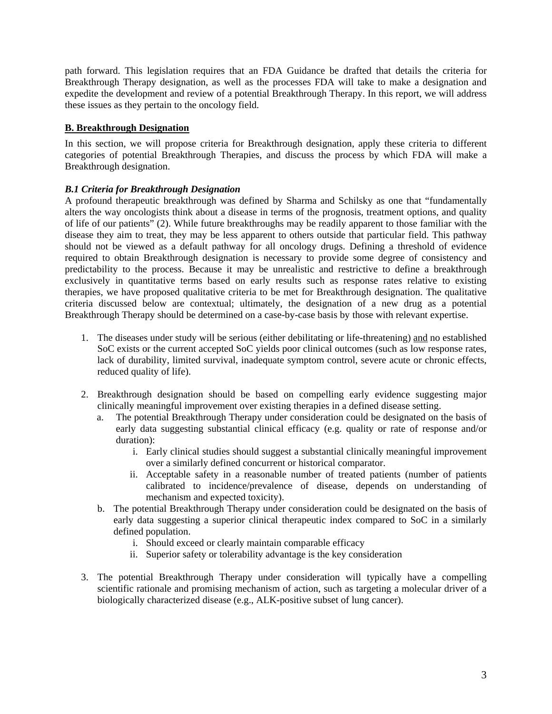path forward. This legislation requires that an FDA Guidance be drafted that details the criteria for Breakthrough Therapy designation, as well as the processes FDA will take to make a designation and expedite the development and review of a potential Breakthrough Therapy. In this report, we will address these issues as they pertain to the oncology field.

### **B. Breakthrough Designation**

In this section, we will propose criteria for Breakthrough designation, apply these criteria to different categories of potential Breakthrough Therapies, and discuss the process by which FDA will make a Breakthrough designation.

### *B.1 Criteria for Breakthrough Designation*

A profound therapeutic breakthrough was defined by Sharma and Schilsky as one that "fundamentally alters the way oncologists think about a disease in terms of the prognosis, treatment options, and quality of life of our patients" (2). While future breakthroughs may be readily apparent to those familiar with the disease they aim to treat, they may be less apparent to others outside that particular field. This pathway should not be viewed as a default pathway for all oncology drugs. Defining a threshold of evidence required to obtain Breakthrough designation is necessary to provide some degree of consistency and predictability to the process. Because it may be unrealistic and restrictive to define a breakthrough exclusively in quantitative terms based on early results such as response rates relative to existing therapies, we have proposed qualitative criteria to be met for Breakthrough designation. The qualitative criteria discussed below are contextual; ultimately, the designation of a new drug as a potential Breakthrough Therapy should be determined on a case-by-case basis by those with relevant expertise.

- 1. The diseases under study will be serious (either debilitating or life-threatening) and no established SoC exists or the current accepted SoC yields poor clinical outcomes (such as low response rates, lack of durability, limited survival, inadequate symptom control, severe acute or chronic effects, reduced quality of life).
- 2. Breakthrough designation should be based on compelling early evidence suggesting major clinically meaningful improvement over existing therapies in a defined disease setting.
	- a. The potential Breakthrough Therapy under consideration could be designated on the basis of early data suggesting substantial clinical efficacy (e.g. quality or rate of response and/or duration):
		- i. Early clinical studies should suggest a substantial clinically meaningful improvement over a similarly defined concurrent or historical comparator.
		- ii. Acceptable safety in a reasonable number of treated patients (number of patients calibrated to incidence/prevalence of disease, depends on understanding of mechanism and expected toxicity).
	- b. The potential Breakthrough Therapy under consideration could be designated on the basis of early data suggesting a superior clinical therapeutic index compared to SoC in a similarly defined population.
		- i. Should exceed or clearly maintain comparable efficacy
		- ii. Superior safety or tolerability advantage is the key consideration
- 3. The potential Breakthrough Therapy under consideration will typically have a compelling scientific rationale and promising mechanism of action, such as targeting a molecular driver of a biologically characterized disease (e.g., ALK-positive subset of lung cancer).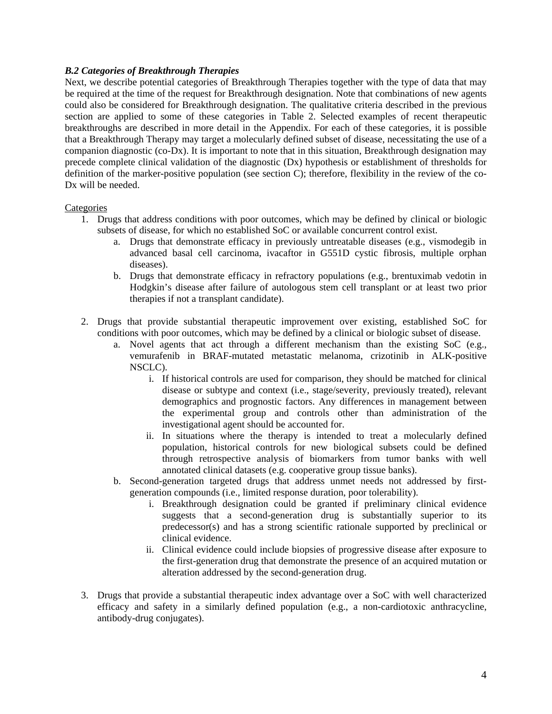### *B.2 Categories of Breakthrough Therapies*

Next, we describe potential categories of Breakthrough Therapies together with the type of data that may be required at the time of the request for Breakthrough designation. Note that combinations of new agents could also be considered for Breakthrough designation. The qualitative criteria described in the previous section are applied to some of these categories in Table 2. Selected examples of recent therapeutic breakthroughs are described in more detail in the Appendix. For each of these categories, it is possible that a Breakthrough Therapy may target a molecularly defined subset of disease, necessitating the use of a companion diagnostic (co-Dx). It is important to note that in this situation, Breakthrough designation may precede complete clinical validation of the diagnostic (Dx) hypothesis or establishment of thresholds for definition of the marker-positive population (see section C); therefore, flexibility in the review of the co-Dx will be needed.

#### **Categories**

- 1. Drugs that address conditions with poor outcomes, which may be defined by clinical or biologic subsets of disease, for which no established SoC or available concurrent control exist.
	- a. Drugs that demonstrate efficacy in previously untreatable diseases (e.g., vismodegib in advanced basal cell carcinoma, ivacaftor in G551D cystic fibrosis, multiple orphan diseases).
	- b. Drugs that demonstrate efficacy in refractory populations (e.g., brentuximab vedotin in Hodgkin's disease after failure of autologous stem cell transplant or at least two prior therapies if not a transplant candidate).
- 2. Drugs that provide substantial therapeutic improvement over existing, established SoC for conditions with poor outcomes, which may be defined by a clinical or biologic subset of disease.
	- a. Novel agents that act through a different mechanism than the existing SoC (e.g., vemurafenib in BRAF-mutated metastatic melanoma, crizotinib in ALK-positive NSCLC).
		- i. If historical controls are used for comparison, they should be matched for clinical disease or subtype and context (i.e., stage/severity, previously treated), relevant demographics and prognostic factors. Any differences in management between the experimental group and controls other than administration of the investigational agent should be accounted for.
		- ii. In situations where the therapy is intended to treat a molecularly defined population, historical controls for new biological subsets could be defined through retrospective analysis of biomarkers from tumor banks with well annotated clinical datasets (e.g. cooperative group tissue banks).
	- b. Second-generation targeted drugs that address unmet needs not addressed by firstgeneration compounds (i.e., limited response duration, poor tolerability).
		- i. Breakthrough designation could be granted if preliminary clinical evidence suggests that a second-generation drug is substantially superior to its predecessor(s) and has a strong scientific rationale supported by preclinical or clinical evidence.
		- ii. Clinical evidence could include biopsies of progressive disease after exposure to the first-generation drug that demonstrate the presence of an acquired mutation or alteration addressed by the second-generation drug.
- 3. Drugs that provide a substantial therapeutic index advantage over a SoC with well characterized efficacy and safety in a similarly defined population (e.g., a non-cardiotoxic anthracycline, antibody-drug conjugates).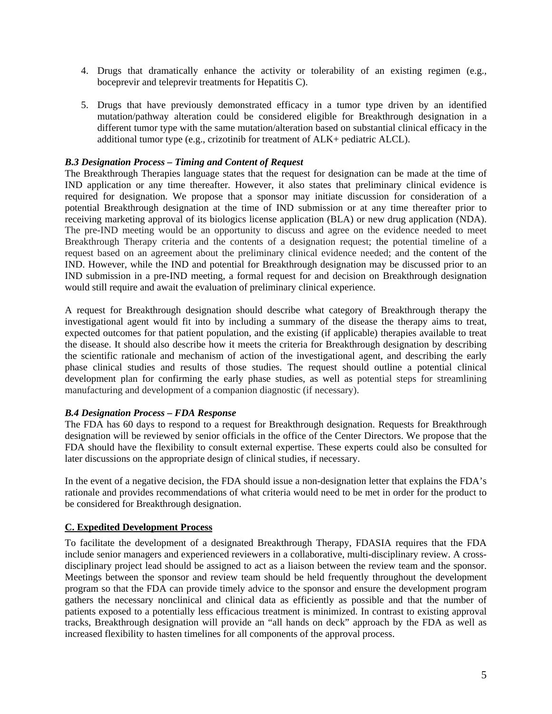- 4. Drugs that dramatically enhance the activity or tolerability of an existing regimen (e.g., boceprevir and teleprevir treatments for Hepatitis C).
- 5. Drugs that have previously demonstrated efficacy in a tumor type driven by an identified mutation/pathway alteration could be considered eligible for Breakthrough designation in a different tumor type with the same mutation/alteration based on substantial clinical efficacy in the additional tumor type (e.g., crizotinib for treatment of ALK+ pediatric ALCL).

#### *B.3 Designation Process – Timing and Content of Request*

The Breakthrough Therapies language states that the request for designation can be made at the time of IND application or any time thereafter. However, it also states that preliminary clinical evidence is required for designation. We propose that a sponsor may initiate discussion for consideration of a potential Breakthrough designation at the time of IND submission or at any time thereafter prior to receiving marketing approval of its biologics license application (BLA) or new drug application (NDA). The pre-IND meeting would be an opportunity to discuss and agree on the evidence needed to meet Breakthrough Therapy criteria and the contents of a designation request; the potential timeline of a request based on an agreement about the preliminary clinical evidence needed; and the content of the IND. However, while the IND and potential for Breakthrough designation may be discussed prior to an IND submission in a pre-IND meeting, a formal request for and decision on Breakthrough designation would still require and await the evaluation of preliminary clinical experience.

A request for Breakthrough designation should describe what category of Breakthrough therapy the investigational agent would fit into by including a summary of the disease the therapy aims to treat, expected outcomes for that patient population, and the existing (if applicable) therapies available to treat the disease. It should also describe how it meets the criteria for Breakthrough designation by describing the scientific rationale and mechanism of action of the investigational agent, and describing the early phase clinical studies and results of those studies. The request should outline a potential clinical development plan for confirming the early phase studies, as well as potential steps for streamlining manufacturing and development of a companion diagnostic (if necessary).

#### *B.4 Designation Process – FDA Response*

The FDA has 60 days to respond to a request for Breakthrough designation. Requests for Breakthrough designation will be reviewed by senior officials in the office of the Center Directors. We propose that the FDA should have the flexibility to consult external expertise. These experts could also be consulted for later discussions on the appropriate design of clinical studies, if necessary.

In the event of a negative decision, the FDA should issue a non-designation letter that explains the FDA's rationale and provides recommendations of what criteria would need to be met in order for the product to be considered for Breakthrough designation.

# **C. Expedited Development Process**

To facilitate the development of a designated Breakthrough Therapy, FDASIA requires that the FDA include senior managers and experienced reviewers in a collaborative, multi-disciplinary review. A crossdisciplinary project lead should be assigned to act as a liaison between the review team and the sponsor. Meetings between the sponsor and review team should be held frequently throughout the development program so that the FDA can provide timely advice to the sponsor and ensure the development program gathers the necessary nonclinical and clinical data as efficiently as possible and that the number of patients exposed to a potentially less efficacious treatment is minimized. In contrast to existing approval tracks, Breakthrough designation will provide an "all hands on deck" approach by the FDA as well as increased flexibility to hasten timelines for all components of the approval process.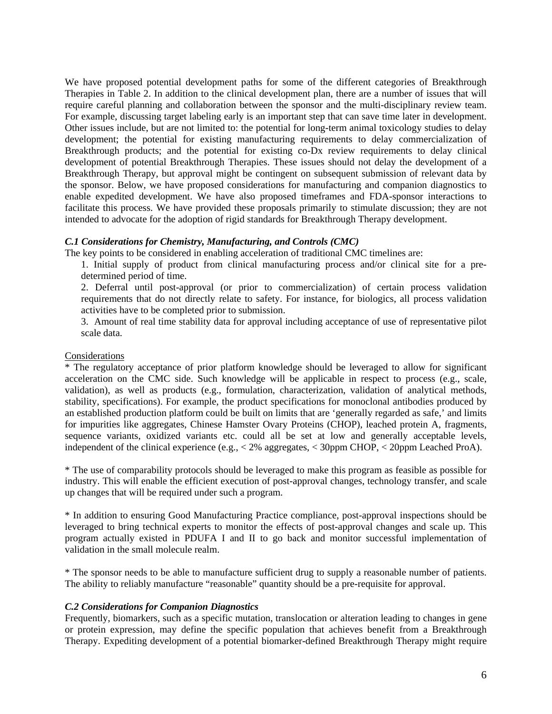We have proposed potential development paths for some of the different categories of Breakthrough Therapies in Table 2. In addition to the clinical development plan, there are a number of issues that will require careful planning and collaboration between the sponsor and the multi-disciplinary review team. For example, discussing target labeling early is an important step that can save time later in development. Other issues include, but are not limited to: the potential for long-term animal toxicology studies to delay development; the potential for existing manufacturing requirements to delay commercialization of Breakthrough products; and the potential for existing co-Dx review requirements to delay clinical development of potential Breakthrough Therapies. These issues should not delay the development of a Breakthrough Therapy, but approval might be contingent on subsequent submission of relevant data by the sponsor. Below, we have proposed considerations for manufacturing and companion diagnostics to enable expedited development. We have also proposed timeframes and FDA-sponsor interactions to facilitate this process. We have provided these proposals primarily to stimulate discussion; they are not intended to advocate for the adoption of rigid standards for Breakthrough Therapy development.

#### *C.1 Considerations for Chemistry, Manufacturing, and Controls (CMC)*

The key points to be considered in enabling acceleration of traditional CMC timelines are:

1. Initial supply of product from clinical manufacturing process and/or clinical site for a predetermined period of time.

2. Deferral until post-approval (or prior to commercialization) of certain process validation requirements that do not directly relate to safety. For instance, for biologics, all process validation activities have to be completed prior to submission.

3. Amount of real time stability data for approval including acceptance of use of representative pilot scale data.

#### Considerations

\* The regulatory acceptance of prior platform knowledge should be leveraged to allow for significant acceleration on the CMC side. Such knowledge will be applicable in respect to process (e.g., scale, validation), as well as products (e.g., formulation, characterization, validation of analytical methods, stability, specifications). For example, the product specifications for monoclonal antibodies produced by an established production platform could be built on limits that are 'generally regarded as safe,' and limits for impurities like aggregates, Chinese Hamster Ovary Proteins (CHOP), leached protein A, fragments, sequence variants, oxidized variants etc. could all be set at low and generally acceptable levels, independent of the clinical experience (e.g., < 2% aggregates, < 30ppm CHOP, < 20ppm Leached ProA).

\* The use of comparability protocols should be leveraged to make this program as feasible as possible for industry. This will enable the efficient execution of post-approval changes, technology transfer, and scale up changes that will be required under such a program.

\* In addition to ensuring Good Manufacturing Practice compliance, post-approval inspections should be leveraged to bring technical experts to monitor the effects of post-approval changes and scale up. This program actually existed in PDUFA I and II to go back and monitor successful implementation of validation in the small molecule realm.

\* The sponsor needs to be able to manufacture sufficient drug to supply a reasonable number of patients. The ability to reliably manufacture "reasonable" quantity should be a pre-requisite for approval.

#### *C.2 Considerations for Companion Diagnostics*

Frequently, biomarkers, such as a specific mutation, translocation or alteration leading to changes in gene or protein expression, may define the specific population that achieves benefit from a Breakthrough Therapy. Expediting development of a potential biomarker-defined Breakthrough Therapy might require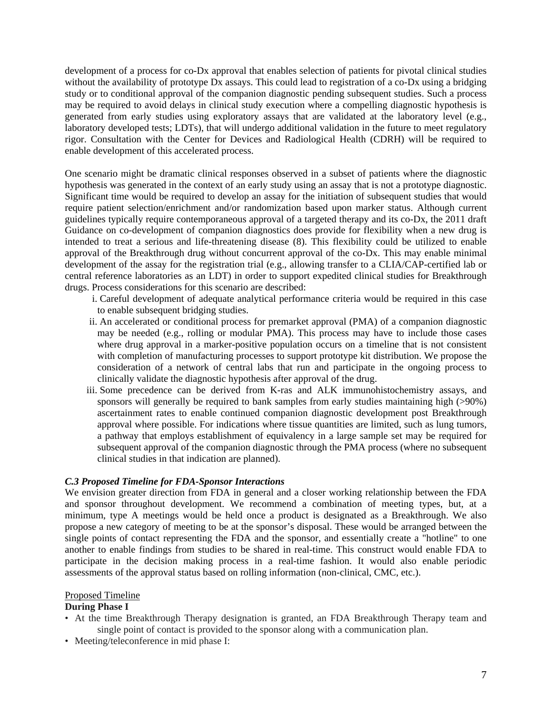development of a process for co-Dx approval that enables selection of patients for pivotal clinical studies without the availability of prototype Dx assays. This could lead to registration of a co-Dx using a bridging study or to conditional approval of the companion diagnostic pending subsequent studies. Such a process may be required to avoid delays in clinical study execution where a compelling diagnostic hypothesis is generated from early studies using exploratory assays that are validated at the laboratory level (e.g., laboratory developed tests; LDTs), that will undergo additional validation in the future to meet regulatory rigor. Consultation with the Center for Devices and Radiological Health (CDRH) will be required to enable development of this accelerated process.

One scenario might be dramatic clinical responses observed in a subset of patients where the diagnostic hypothesis was generated in the context of an early study using an assay that is not a prototype diagnostic. Significant time would be required to develop an assay for the initiation of subsequent studies that would require patient selection/enrichment and/or randomization based upon marker status. Although current guidelines typically require contemporaneous approval of a targeted therapy and its co-Dx, the 2011 draft Guidance on co-development of companion diagnostics does provide for flexibility when a new drug is intended to treat a serious and life-threatening disease (8). This flexibility could be utilized to enable approval of the Breakthrough drug without concurrent approval of the co-Dx. This may enable minimal development of the assay for the registration trial (e.g., allowing transfer to a CLIA/CAP-certified lab or central reference laboratories as an LDT) in order to support expedited clinical studies for Breakthrough drugs. Process considerations for this scenario are described:

- i. Careful development of adequate analytical performance criteria would be required in this case to enable subsequent bridging studies.
- ii. An accelerated or conditional process for premarket approval (PMA) of a companion diagnostic may be needed (e.g., rolling or modular PMA). This process may have to include those cases where drug approval in a marker-positive population occurs on a timeline that is not consistent with completion of manufacturing processes to support prototype kit distribution. We propose the consideration of a network of central labs that run and participate in the ongoing process to clinically validate the diagnostic hypothesis after approval of the drug.
- iii. Some precedence can be derived from K-ras and ALK immunohistochemistry assays, and sponsors will generally be required to bank samples from early studies maintaining high (>90%) ascertainment rates to enable continued companion diagnostic development post Breakthrough approval where possible. For indications where tissue quantities are limited, such as lung tumors, a pathway that employs establishment of equivalency in a large sample set may be required for subsequent approval of the companion diagnostic through the PMA process (where no subsequent clinical studies in that indication are planned).

#### *C.3 Proposed Timeline for FDA-Sponsor Interactions*

We envision greater direction from FDA in general and a closer working relationship between the FDA and sponsor throughout development. We recommend a combination of meeting types, but, at a minimum, type A meetings would be held once a product is designated as a Breakthrough. We also propose a new category of meeting to be at the sponsor's disposal. These would be arranged between the single points of contact representing the FDA and the sponsor, and essentially create a "hotline" to one another to enable findings from studies to be shared in real-time. This construct would enable FDA to participate in the decision making process in a real-time fashion. It would also enable periodic assessments of the approval status based on rolling information (non-clinical, CMC, etc.).

#### Proposed Timeline

#### **During Phase I**

- At the time Breakthrough Therapy designation is granted, an FDA Breakthrough Therapy team and single point of contact is provided to the sponsor along with a communication plan.
- Meeting/teleconference in mid phase I: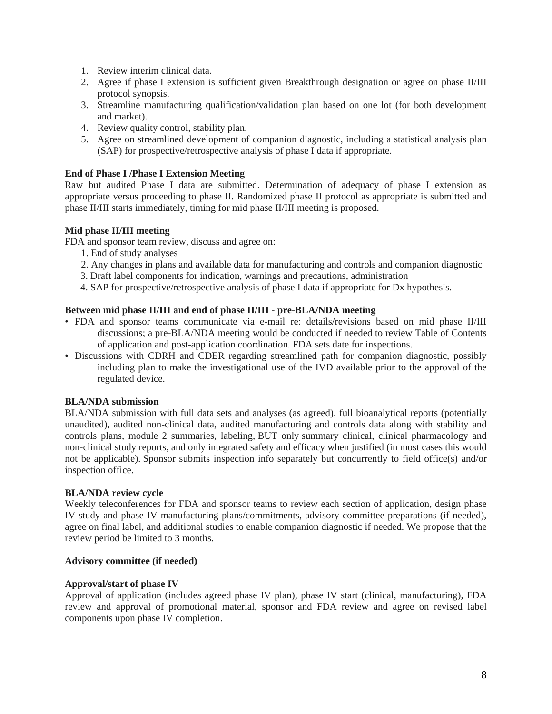- 1. Review interim clinical data.
- 2. Agree if phase I extension is sufficient given Breakthrough designation or agree on phase II/III protocol synopsis.
- 3. Streamline manufacturing qualification/validation plan based on one lot (for both development and market).
- 4. Review quality control, stability plan.
- 5. Agree on streamlined development of companion diagnostic, including a statistical analysis plan (SAP) for prospective/retrospective analysis of phase I data if appropriate.

#### **End of Phase I /Phase I Extension Meeting**

Raw but audited Phase I data are submitted. Determination of adequacy of phase I extension as appropriate versus proceeding to phase II. Randomized phase II protocol as appropriate is submitted and phase II/III starts immediately, timing for mid phase II/III meeting is proposed.

### **Mid phase II/III meeting**

FDA and sponsor team review, discuss and agree on:

- 1. End of study analyses
- 2. Any changes in plans and available data for manufacturing and controls and companion diagnostic
- 3. Draft label components for indication, warnings and precautions, administration
- 4. SAP for prospective/retrospective analysis of phase I data if appropriate for Dx hypothesis.

### **Between mid phase II/III and end of phase II/III - pre-BLA/NDA meeting**

- FDA and sponsor teams communicate via e-mail re: details/revisions based on mid phase II/III discussions; a pre-BLA/NDA meeting would be conducted if needed to review Table of Contents of application and post-application coordination. FDA sets date for inspections.
- Discussions with CDRH and CDER regarding streamlined path for companion diagnostic, possibly including plan to make the investigational use of the IVD available prior to the approval of the regulated device.

# **BLA/NDA submission**

BLA/NDA submission with full data sets and analyses (as agreed), full bioanalytical reports (potentially unaudited), audited non-clinical data, audited manufacturing and controls data along with stability and controls plans, module 2 summaries, labeling, BUT only summary clinical, clinical pharmacology and non-clinical study reports, and only integrated safety and efficacy when justified (in most cases this would not be applicable). Sponsor submits inspection info separately but concurrently to field office(s) and/or inspection office.

#### **BLA/NDA review cycle**

Weekly teleconferences for FDA and sponsor teams to review each section of application, design phase IV study and phase IV manufacturing plans/commitments, advisory committee preparations (if needed), agree on final label, and additional studies to enable companion diagnostic if needed. We propose that the review period be limited to 3 months.

#### **Advisory committee (if needed)**

#### **Approval/start of phase IV**

Approval of application (includes agreed phase IV plan), phase IV start (clinical, manufacturing), FDA review and approval of promotional material, sponsor and FDA review and agree on revised label components upon phase IV completion.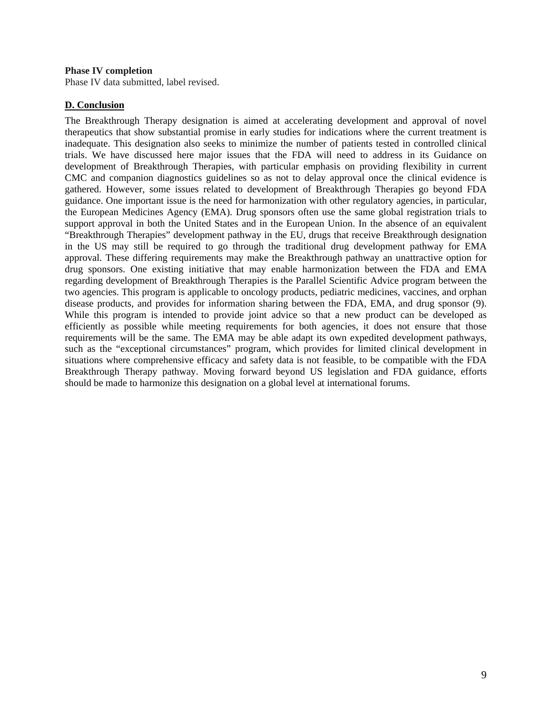#### **Phase IV completion**

Phase IV data submitted, label revised.

#### **D. Conclusion**

The Breakthrough Therapy designation is aimed at accelerating development and approval of novel therapeutics that show substantial promise in early studies for indications where the current treatment is inadequate. This designation also seeks to minimize the number of patients tested in controlled clinical trials. We have discussed here major issues that the FDA will need to address in its Guidance on development of Breakthrough Therapies, with particular emphasis on providing flexibility in current CMC and companion diagnostics guidelines so as not to delay approval once the clinical evidence is gathered. However, some issues related to development of Breakthrough Therapies go beyond FDA guidance. One important issue is the need for harmonization with other regulatory agencies, in particular, the European Medicines Agency (EMA). Drug sponsors often use the same global registration trials to support approval in both the United States and in the European Union. In the absence of an equivalent "Breakthrough Therapies" development pathway in the EU, drugs that receive Breakthrough designation in the US may still be required to go through the traditional drug development pathway for EMA approval. These differing requirements may make the Breakthrough pathway an unattractive option for drug sponsors. One existing initiative that may enable harmonization between the FDA and EMA regarding development of Breakthrough Therapies is the Parallel Scientific Advice program between the two agencies. This program is applicable to oncology products, pediatric medicines, vaccines, and orphan disease products, and provides for information sharing between the FDA, EMA, and drug sponsor (9). While this program is intended to provide joint advice so that a new product can be developed as efficiently as possible while meeting requirements for both agencies, it does not ensure that those requirements will be the same. The EMA may be able adapt its own expedited development pathways, such as the "exceptional circumstances" program, which provides for limited clinical development in situations where comprehensive efficacy and safety data is not feasible, to be compatible with the FDA Breakthrough Therapy pathway. Moving forward beyond US legislation and FDA guidance, efforts should be made to harmonize this designation on a global level at international forums.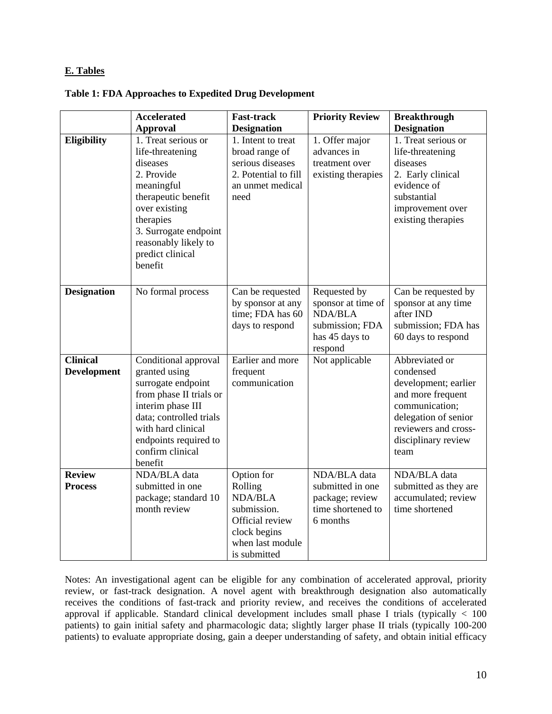### **E. Tables**

|                                       | <b>Accelerated</b>                                                                                                                                                                                                   | <b>Fast-track</b>                                                                                                             | <b>Priority Review</b>                                                                               | <b>Breakthrough</b>                                                                                                                                                       |
|---------------------------------------|----------------------------------------------------------------------------------------------------------------------------------------------------------------------------------------------------------------------|-------------------------------------------------------------------------------------------------------------------------------|------------------------------------------------------------------------------------------------------|---------------------------------------------------------------------------------------------------------------------------------------------------------------------------|
|                                       | <b>Approval</b>                                                                                                                                                                                                      | <b>Designation</b>                                                                                                            |                                                                                                      | <b>Designation</b>                                                                                                                                                        |
| <b>Eligibility</b>                    | 1. Treat serious or<br>life-threatening<br>diseases<br>2. Provide<br>meaningful<br>therapeutic benefit<br>over existing<br>therapies<br>3. Surrogate endpoint<br>reasonably likely to<br>predict clinical<br>benefit | 1. Intent to treat<br>broad range of<br>serious diseases<br>2. Potential to fill<br>an unmet medical<br>need                  | 1. Offer major<br>advances in<br>treatment over<br>existing therapies                                | 1. Treat serious or<br>life-threatening<br>diseases<br>2. Early clinical<br>evidence of<br>substantial<br>improvement over<br>existing therapies                          |
| <b>Designation</b>                    | No formal process                                                                                                                                                                                                    | Can be requested<br>by sponsor at any<br>time; FDA has 60<br>days to respond                                                  | Requested by<br>sponsor at time of<br><b>NDA/BLA</b><br>submission; FDA<br>has 45 days to<br>respond | Can be requested by<br>sponsor at any time<br>after IND<br>submission; FDA has<br>60 days to respond                                                                      |
| <b>Clinical</b><br><b>Development</b> | Conditional approval<br>granted using<br>surrogate endpoint<br>from phase II trials or<br>interim phase III<br>data; controlled trials<br>with hard clinical<br>endpoints required to<br>confirm clinical<br>benefit | Earlier and more<br>frequent<br>communication                                                                                 | Not applicable                                                                                       | Abbreviated or<br>condensed<br>development; earlier<br>and more frequent<br>communication;<br>delegation of senior<br>reviewers and cross-<br>disciplinary review<br>team |
| <b>Review</b><br><b>Process</b>       | NDA/BLA data<br>submitted in one<br>package; standard 10<br>month review                                                                                                                                             | Option for<br>Rolling<br><b>NDA/BLA</b><br>submission.<br>Official review<br>clock begins<br>when last module<br>is submitted | NDA/BLA data<br>submitted in one<br>package; review<br>time shortened to<br>6 months                 | NDA/BLA data<br>submitted as they are<br>accumulated; review<br>time shortened                                                                                            |

Notes: An investigational agent can be eligible for any combination of accelerated approval, priority review, or fast-track designation. A novel agent with breakthrough designation also automatically receives the conditions of fast-track and priority review, and receives the conditions of accelerated approval if applicable. Standard clinical development includes small phase I trials (typically < 100 patients) to gain initial safety and pharmacologic data; slightly larger phase II trials (typically 100-200 patients) to evaluate appropriate dosing, gain a deeper understanding of safety, and obtain initial efficacy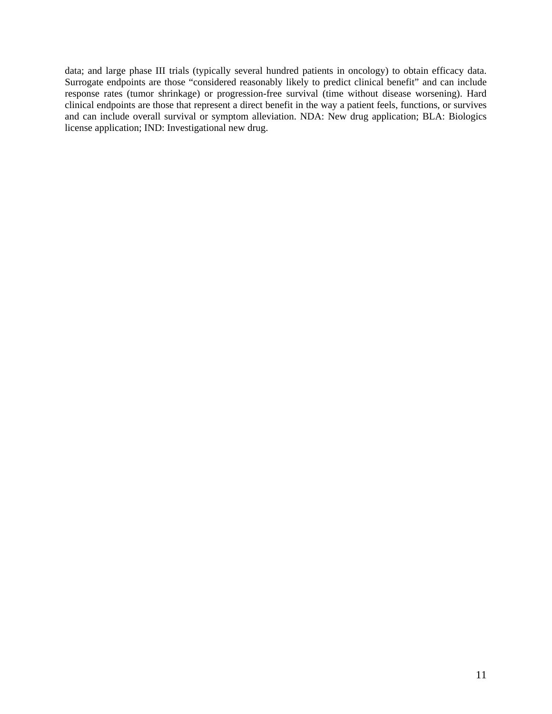data; and large phase III trials (typically several hundred patients in oncology) to obtain efficacy data. Surrogate endpoints are those "considered reasonably likely to predict clinical benefit" and can include response rates (tumor shrinkage) or progression-free survival (time without disease worsening). Hard clinical endpoints are those that represent a direct benefit in the way a patient feels, functions, or survives and can include overall survival or symptom alleviation. NDA: New drug application; BLA: Biologics license application; IND: Investigational new drug.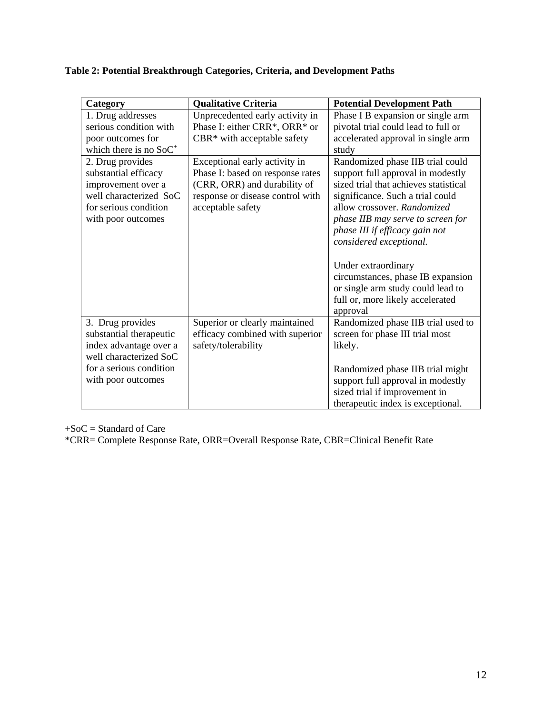| Table 2: Potential Breakthrough Categories, Criteria, and Development Paths |  |
|-----------------------------------------------------------------------------|--|
|-----------------------------------------------------------------------------|--|

| Category                                                                                                                                         | <b>Qualitative Criteria</b>                                                                                                                                | <b>Potential Development Path</b>                                                                                                                                                                                                                                                                                                                                                                                                    |
|--------------------------------------------------------------------------------------------------------------------------------------------------|------------------------------------------------------------------------------------------------------------------------------------------------------------|--------------------------------------------------------------------------------------------------------------------------------------------------------------------------------------------------------------------------------------------------------------------------------------------------------------------------------------------------------------------------------------------------------------------------------------|
| 1. Drug addresses<br>serious condition with<br>poor outcomes for<br>which there is no $SoC^+$                                                    | Unprecedented early activity in<br>Phase I: either CRR*, ORR* or<br>CBR* with acceptable safety                                                            | Phase I B expansion or single arm<br>pivotal trial could lead to full or<br>accelerated approval in single arm<br>study                                                                                                                                                                                                                                                                                                              |
| 2. Drug provides<br>substantial efficacy<br>improvement over a<br>well characterized SoC<br>for serious condition<br>with poor outcomes          | Exceptional early activity in<br>Phase I: based on response rates<br>(CRR, ORR) and durability of<br>response or disease control with<br>acceptable safety | Randomized phase IIB trial could<br>support full approval in modestly<br>sized trial that achieves statistical<br>significance. Such a trial could<br>allow crossover. Randomized<br>phase IIB may serve to screen for<br>phase III if efficacy gain not<br>considered exceptional.<br>Under extraordinary<br>circumstances, phase IB expansion<br>or single arm study could lead to<br>full or, more likely accelerated<br>approval |
| 3. Drug provides<br>substantial therapeutic<br>index advantage over a<br>well characterized SoC<br>for a serious condition<br>with poor outcomes | Superior or clearly maintained<br>efficacy combined with superior<br>safety/tolerability                                                                   | Randomized phase IIB trial used to<br>screen for phase III trial most<br>likely.<br>Randomized phase IIB trial might<br>support full approval in modestly<br>sized trial if improvement in<br>therapeutic index is exceptional.                                                                                                                                                                                                      |

+SoC = Standard of Care

\*CRR= Complete Response Rate, ORR=Overall Response Rate, CBR=Clinical Benefit Rate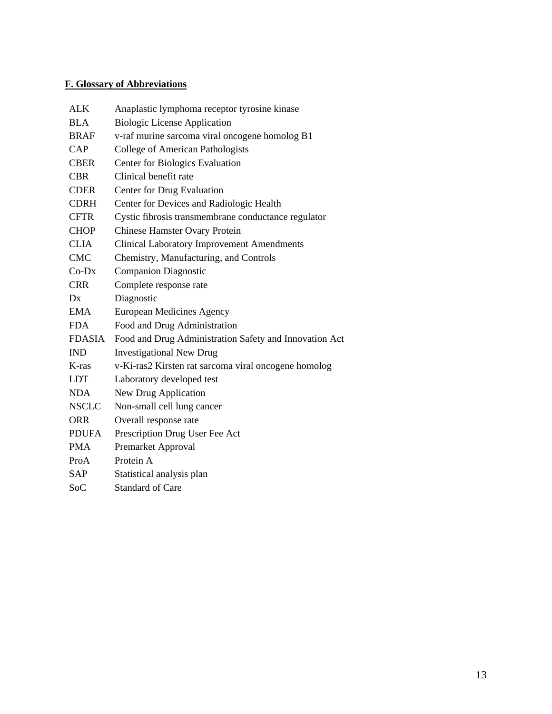# **F. Glossary of Abbreviations**

| <b>ALK</b>    | Anaplastic lymphoma receptor tyrosine kinase           |
|---------------|--------------------------------------------------------|
| <b>BLA</b>    | <b>Biologic License Application</b>                    |
| <b>BRAF</b>   | v-raf murine sarcoma viral oncogene homolog B1         |
| CAP           | College of American Pathologists                       |
| <b>CBER</b>   | <b>Center for Biologics Evaluation</b>                 |
| <b>CBR</b>    | Clinical benefit rate                                  |
| <b>CDER</b>   | Center for Drug Evaluation                             |
| <b>CDRH</b>   | Center for Devices and Radiologic Health               |
| <b>CFTR</b>   | Cystic fibrosis transmembrane conductance regulator    |
| <b>CHOP</b>   | <b>Chinese Hamster Ovary Protein</b>                   |
| <b>CLIA</b>   | <b>Clinical Laboratory Improvement Amendments</b>      |
| <b>CMC</b>    | Chemistry, Manufacturing, and Controls                 |
| $Co-Dx$       | <b>Companion Diagnostic</b>                            |
| <b>CRR</b>    | Complete response rate                                 |
| Dx            | Diagnostic                                             |
| <b>EMA</b>    | <b>European Medicines Agency</b>                       |
| <b>FDA</b>    | Food and Drug Administration                           |
| <b>FDASIA</b> | Food and Drug Administration Safety and Innovation Act |
| <b>IND</b>    | <b>Investigational New Drug</b>                        |
| K-ras         | v-Ki-ras2 Kirsten rat sarcoma viral oncogene homolog   |
| <b>LDT</b>    | Laboratory developed test                              |
| <b>NDA</b>    | New Drug Application                                   |
| <b>NSCLC</b>  | Non-small cell lung cancer                             |
| <b>ORR</b>    | Overall response rate                                  |
| <b>PDUFA</b>  | Prescription Drug User Fee Act                         |
| <b>PMA</b>    | Premarket Approval                                     |
| ProA          | Protein A                                              |
| <b>SAP</b>    | Statistical analysis plan                              |
| SoC           | <b>Standard of Care</b>                                |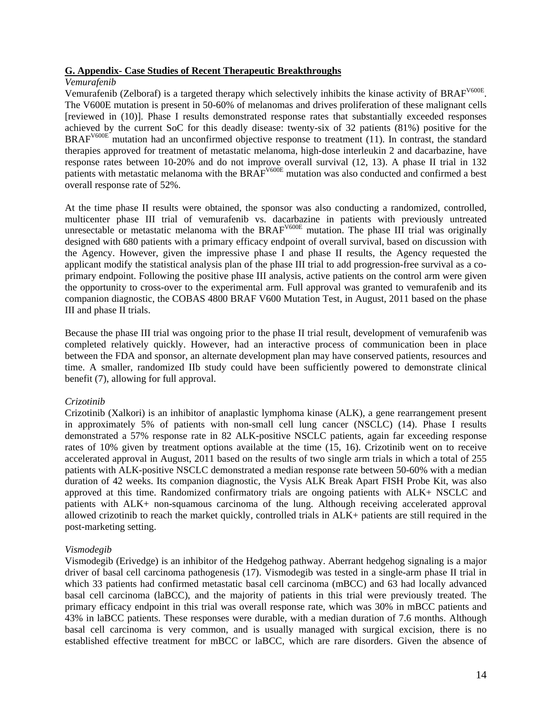#### **G. Appendix- Case Studies of Recent Therapeutic Breakthroughs**

#### *Vemurafenib*

Vemurafenib (Zelboraf) is a targeted therapy which selectively inhibits the kinase activity of BRAF<sup>V600E</sup>. The V600E mutation is present in 50-60% of melanomas and drives proliferation of these malignant cells [reviewed in (10)]. Phase I results demonstrated response rates that substantially exceeded responses achieved by the current SoC for this deadly disease: twenty-six of 32 patients (81%) positive for the BRAF<sup>V600E</sup> mutation had an unconfirmed objective response to treatment (11). In contrast, the standard therapies approved for treatment of metastatic melanoma, high-dose interleukin 2 and dacarbazine, have response rates between 10-20% and do not improve overall survival (12, 13). A phase II trial in 132 patients with metastatic melanoma with the BRAF<sup>V600E</sup> mutation was also conducted and confirmed a best overall response rate of 52%.

At the time phase II results were obtained, the sponsor was also conducting a randomized, controlled, multicenter phase III trial of vemurafenib vs. dacarbazine in patients with previously untreated unresectable or metastatic melanoma with the  $BRAF<sup>V600E</sup>$  mutation. The phase III trial was originally designed with 680 patients with a primary efficacy endpoint of overall survival, based on discussion with the Agency. However, given the impressive phase I and phase II results, the Agency requested the applicant modify the statistical analysis plan of the phase III trial to add progression-free survival as a coprimary endpoint. Following the positive phase III analysis, active patients on the control arm were given the opportunity to cross-over to the experimental arm. Full approval was granted to vemurafenib and its companion diagnostic, the COBAS 4800 BRAF V600 Mutation Test, in August, 2011 based on the phase III and phase II trials.

Because the phase III trial was ongoing prior to the phase II trial result, development of vemurafenib was completed relatively quickly. However, had an interactive process of communication been in place between the FDA and sponsor, an alternate development plan may have conserved patients, resources and time. A smaller, randomized IIb study could have been sufficiently powered to demonstrate clinical benefit (7), allowing for full approval.

#### *Crizotinib*

Crizotinib (Xalkori) is an inhibitor of anaplastic lymphoma kinase (ALK), a gene rearrangement present in approximately 5% of patients with non-small cell lung cancer (NSCLC) (14). Phase I results demonstrated a 57% response rate in 82 ALK-positive NSCLC patients, again far exceeding response rates of 10% given by treatment options available at the time (15, 16). Crizotinib went on to receive accelerated approval in August, 2011 based on the results of two single arm trials in which a total of 255 patients with ALK-positive NSCLC demonstrated a median response rate between 50-60% with a median duration of 42 weeks. Its companion diagnostic, the Vysis ALK Break Apart FISH Probe Kit, was also approved at this time. Randomized confirmatory trials are ongoing patients with ALK+ NSCLC and patients with ALK+ non-squamous carcinoma of the lung. Although receiving accelerated approval allowed crizotinib to reach the market quickly, controlled trials in ALK+ patients are still required in the post-marketing setting.

#### *Vismodegib*

Vismodegib (Erivedge) is an inhibitor of the Hedgehog pathway. Aberrant hedgehog signaling is a major driver of basal cell carcinoma pathogenesis (17). Vismodegib was tested in a single-arm phase II trial in which 33 patients had confirmed metastatic basal cell carcinoma (mBCC) and 63 had locally advanced basal cell carcinoma (laBCC), and the majority of patients in this trial were previously treated. The primary efficacy endpoint in this trial was overall response rate, which was 30% in mBCC patients and 43% in laBCC patients. These responses were durable, with a median duration of 7.6 months. Although basal cell carcinoma is very common, and is usually managed with surgical excision, there is no established effective treatment for mBCC or laBCC, which are rare disorders. Given the absence of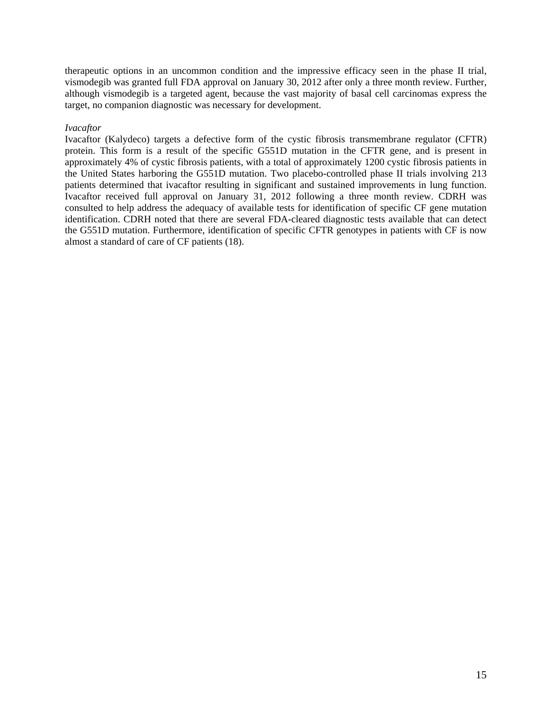therapeutic options in an uncommon condition and the impressive efficacy seen in the phase II trial, vismodegib was granted full FDA approval on January 30, 2012 after only a three month review. Further, although vismodegib is a targeted agent, because the vast majority of basal cell carcinomas express the target, no companion diagnostic was necessary for development.

#### *Ivacaftor*

Ivacaftor (Kalydeco) targets a defective form of the cystic fibrosis transmembrane regulator (CFTR) protein. This form is a result of the specific G551D mutation in the CFTR gene, and is present in approximately 4% of cystic fibrosis patients, with a total of approximately 1200 cystic fibrosis patients in the United States harboring the G551D mutation. Two placebo-controlled phase II trials involving 213 patients determined that ivacaftor resulting in significant and sustained improvements in lung function. Ivacaftor received full approval on January 31, 2012 following a three month review. CDRH was consulted to help address the adequacy of available tests for identification of specific CF gene mutation identification. CDRH noted that there are several FDA-cleared diagnostic tests available that can detect the G551D mutation. Furthermore, identification of specific CFTR genotypes in patients with CF is now almost a standard of care of CF patients (18).